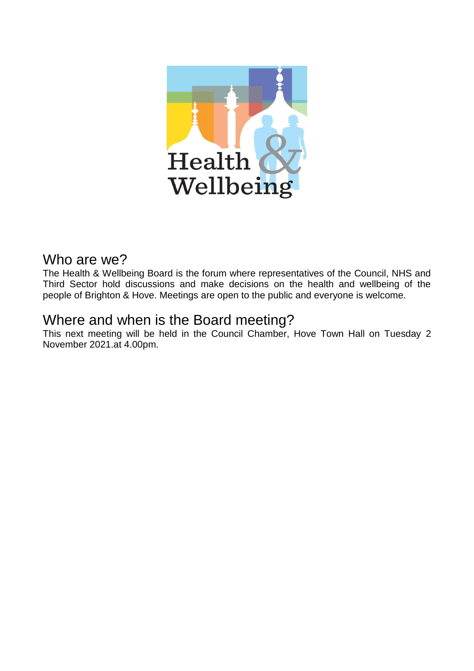

# Who are we?

The Health & Wellbeing Board is the forum where representatives of the Council, NHS and Third Sector hold discussions and make decisions on the health and wellbeing of the people of Brighton & Hove. Meetings are open to the public and everyone is welcome.

# Where and when is the Board meeting?

This next meeting will be held in the Council Chamber, Hove Town Hall on Tuesday 2 November 2021.at 4.00pm.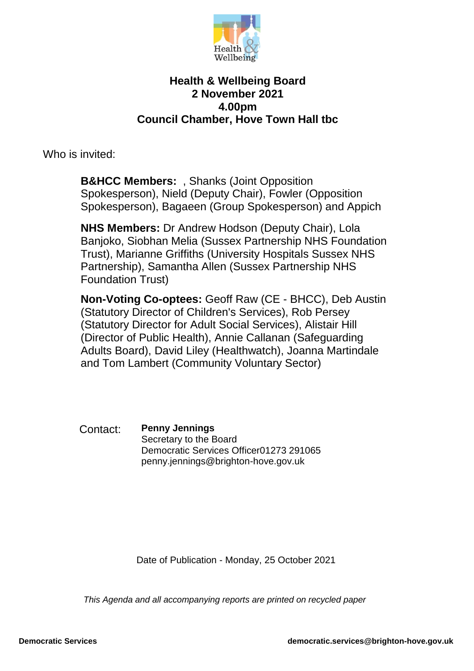

## **Health & Wellbeing Board 2 November 2021 4.00pm Council Chamber, Hove Town Hall tbc**

Who is invited:

**B&HCC Members:** , Shanks (Joint Opposition Spokesperson), Nield (Deputy Chair), Fowler (Opposition Spokesperson), Bagaeen (Group Spokesperson) and Appich

**NHS Members:** Dr Andrew Hodson (Deputy Chair), Lola Banjoko, Siobhan Melia (Sussex Partnership NHS Foundation Trust), Marianne Griffiths (University Hospitals Sussex NHS Partnership), Samantha Allen (Sussex Partnership NHS Foundation Trust)

**Non-Voting Co-optees:** Geoff Raw (CE - BHCC), Deb Austin (Statutory Director of Children's Services), Rob Persey (Statutory Director for Adult Social Services), Alistair Hill (Director of Public Health), Annie Callanan (Safeguarding Adults Board), David Liley (Healthwatch), Joanna Martindale and Tom Lambert (Community Voluntary Sector)

Contact: **Penny Jennings** Secretary to the Board Democratic Services Officer01273 291065 penny.jennings@brighton-hove.gov.uk

Date of Publication - Monday, 25 October 2021

*This Agenda and all accompanying reports are printed on recycled paper*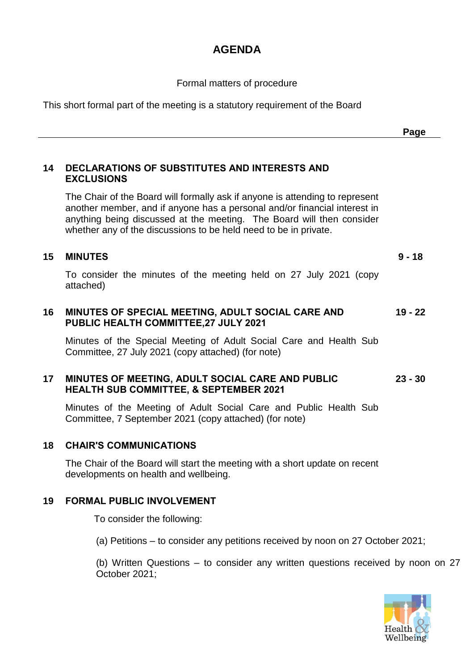# **AGENDA**

Formal matters of procedure

This short formal part of the meeting is a statutory requirement of the Board

#### **14 DECLARATIONS OF SUBSTITUTES AND INTERESTS AND EXCLUSIONS**

The Chair of the Board will formally ask if anyone is attending to represent another member, and if anyone has a personal and/or financial interest in anything being discussed at the meeting. The Board will then consider whether any of the discussions to be held need to be in private.

## **15 MINUTES 9 - 18**

**Page**

To consider the minutes of the meeting held on 27 July 2021 (copy attached)

#### **16 MINUTES OF SPECIAL MEETING, ADULT SOCIAL CARE AND PUBLIC HEALTH COMMITTEE,27 JULY 2021 19 - 22**

Minutes of the Special Meeting of Adult Social Care and Health Sub Committee, 27 July 2021 (copy attached) (for note)

#### **17 MINUTES OF MEETING, ADULT SOCIAL CARE AND PUBLIC HEALTH SUB COMMITTEE, & SEPTEMBER 2021 23 - 30**

Minutes of the Meeting of Adult Social Care and Public Health Sub Committee, 7 September 2021 (copy attached) (for note)

### **18 CHAIR'S COMMUNICATIONS**

The Chair of the Board will start the meeting with a short update on recent developments on health and wellbeing.

### **19 FORMAL PUBLIC INVOLVEMENT**

To consider the following:

(a) Petitions – to consider any petitions received by noon on 27 October 2021;

(b) Written Questions – to consider any written questions received by noon on 27 October 2021;

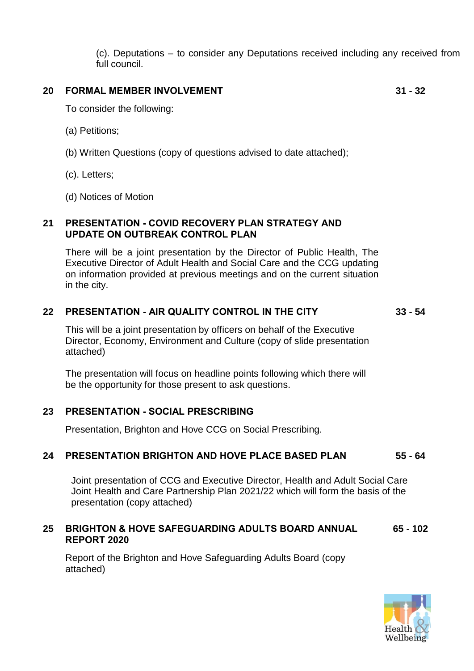(c). Deputations – to consider any Deputations received including any received from full council.

#### **20 FORMAL MEMBER INVOLVEMENT 31 - 32**

To consider the following:

- (a) Petitions;
- (b) Written Questions (copy of questions advised to date attached);
- (c). Letters;
- (d) Notices of Motion

### **21 PRESENTATION - COVID RECOVERY PLAN STRATEGY AND UPDATE ON OUTBREAK CONTROL PLAN**

There will be a joint presentation by the Director of Public Health, The Executive Director of Adult Health and Social Care and the CCG updating on information provided at previous meetings and on the current situation in the city.

### **22 PRESENTATION - AIR QUALITY CONTROL IN THE CITY 33 - 54**

This will be a joint presentation by officers on behalf of the Executive Director, Economy, Environment and Culture (copy of slide presentation attached)

The presentation will focus on headline points following which there will be the opportunity for those present to ask questions.

### **23 PRESENTATION - SOCIAL PRESCRIBING**

Presentation, Brighton and Hove CCG on Social Prescribing.

### **24 PRESENTATION BRIGHTON AND HOVE PLACE BASED PLAN 55 - 64**

Joint presentation of CCG and Executive Director, Health and Adult Social Care Joint Health and Care Partnership Plan 2021/22 which will form the basis of the presentation (copy attached)

#### **25 BRIGHTON & HOVE SAFEGUARDING ADULTS BOARD ANNUAL REPORT 2020 65 - 102**

Report of the Brighton and Hove Safeguarding Adults Board (copy attached)

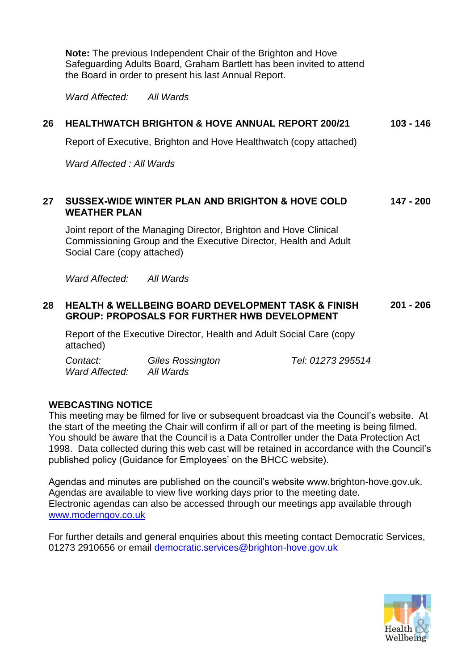**Note:** The previous Independent Chair of the Brighton and Hove Safeguarding Adults Board, Graham Bartlett has been invited to attend the Board in order to present his last Annual Report.

*Ward Affected: All Wards*

## **26 HEALTHWATCH BRIGHTON & HOVE ANNUAL REPORT 200/21 103 - 146**

Report of Executive, Brighton and Hove Healthwatch (copy attached)

*Ward Affected : All Wards*

#### **27 SUSSEX-WIDE WINTER PLAN AND BRIGHTON & HOVE COLD WEATHER PLAN 147 - 200**

Joint report of the Managing Director, Brighton and Hove Clinical Commissioning Group and the Executive Director, Health and Adult Social Care (copy attached)

*Ward Affected: All Wards*

#### **28 HEALTH & WELLBEING BOARD DEVELOPMENT TASK & FINISH GROUP: PROPOSALS FOR FURTHER HWB DEVELOPMENT 201 - 206**

Report of the Executive Director, Health and Adult Social Care (copy attached)

| Contact:       | <b>Giles Rossington</b> | Tel: 01273 295514 |
|----------------|-------------------------|-------------------|
| Ward Affected: | All Wards               |                   |

### **WEBCASTING NOTICE**

This meeting may be filmed for live or subsequent broadcast via the Council's website. At the start of the meeting the Chair will confirm if all or part of the meeting is being filmed. You should be aware that the Council is a Data Controller under the Data Protection Act 1998. Data collected during this web cast will be retained in accordance with the Council's published policy (Guidance for Employees' on the BHCC website).

Agendas and minutes are published on the council's website www.brighton-hove.gov.uk. Agendas are available to view five working days prior to the meeting date. Electronic agendas can also be accessed through our meetings app available through [www.moderngov.co.uk](http://www.moderngov.co.uk/)

For further details and general enquiries about this meeting contact Democratic Services, 01273 2910656 or email [democratic.services@brighton-hove.gov.uk](mailto:democratic.services@brighton-hove.gov.uk)

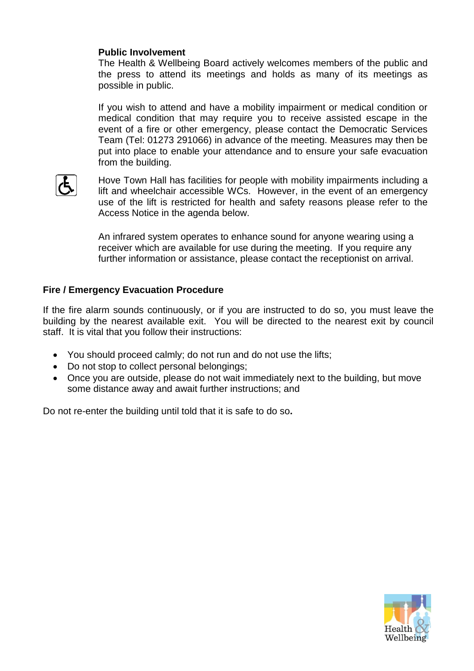### **Public Involvement**

The Health & Wellbeing Board actively welcomes members of the public and the press to attend its meetings and holds as many of its meetings as possible in public.

If you wish to attend and have a mobility impairment or medical condition or medical condition that may require you to receive assisted escape in the event of a fire or other emergency, please contact the Democratic Services Team (Tel: 01273 291066) in advance of the meeting. Measures may then be put into place to enable your attendance and to ensure your safe evacuation from the building.



Hove Town Hall has facilities for people with mobility impairments including a lift and wheelchair accessible WCs. However, in the event of an emergency use of the lift is restricted for health and safety reasons please refer to the Access Notice in the agenda below.

An infrared system operates to enhance sound for anyone wearing using a receiver which are available for use during the meeting. If you require any further information or assistance, please contact the receptionist on arrival.

### **Fire / Emergency Evacuation Procedure**

If the fire alarm sounds continuously, or if you are instructed to do so, you must leave the building by the nearest available exit. You will be directed to the nearest exit by council staff. It is vital that you follow their instructions:

- You should proceed calmly; do not run and do not use the lifts;
- Do not stop to collect personal belongings;
- Once you are outside, please do not wait immediately next to the building, but move some distance away and await further instructions; and

Do not re-enter the building until told that it is safe to do so**.**